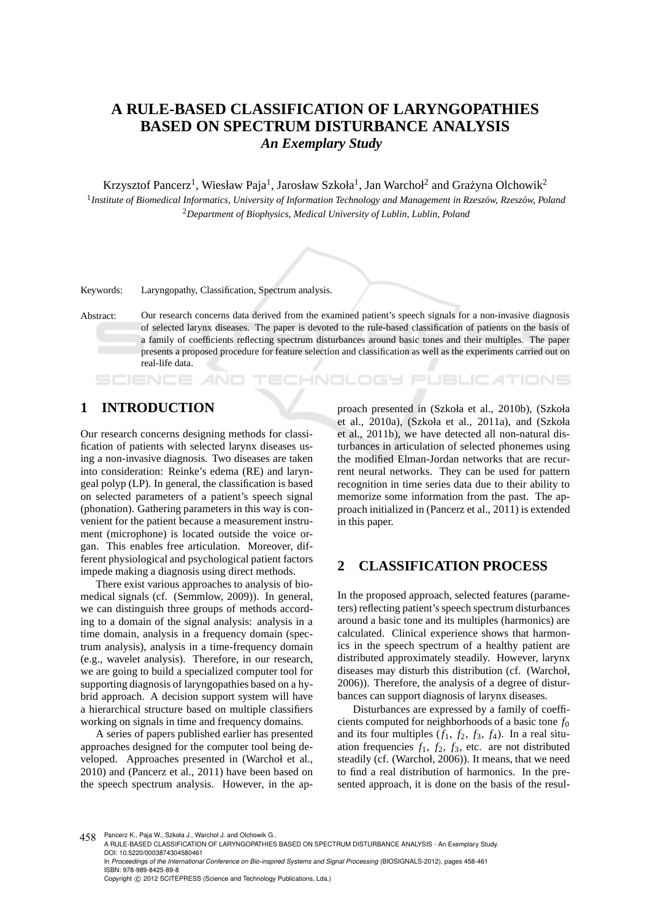# **A RULE-BASED CLASSIFICATION OF LARYNGOPATHIES BASED ON SPECTRUM DISTURBANCE ANALYSIS** *An Exemplary Study*

Krzysztof Pancerz<sup>1</sup>, Wiesław Paja<sup>1</sup>, Jarosław Szkoła<sup>1</sup>, Jan Warchoł<sup>2</sup> and Grażyna Olchowik<sup>2</sup> <sup>1</sup> Institute of Biomedical Informatics, University of Information Technology and Management in Rzeszów, Rzeszów, Poland <sup>2</sup>*Department of Biophysics, Medical University of Lublin, Lublin, Poland*

Keywords: Laryngopathy, Classification, Spectrum analysis.

Abstract: Our research concerns data derived from the examined patient's speech signals for a non-invasive diagnosis of selected larynx diseases. The paper is devoted to the rule-based classification of patients on the basis of a family of coefficients reflecting spectrum disturbances around basic tones and their multiples. The paper presents a proposed procedure for feature selection and classification as well as the experiments carried out on real-life data.

## **1 INTRODUCTION**

SCIENCE

Our research concerns designing methods for classification of patients with selected larynx diseases using a non-invasive diagnosis. Two diseases are taken into consideration: Reinke's edema (RE) and laryngeal polyp (LP). In general, the classification is based on selected parameters of a patient's speech signal (phonation). Gathering parameters in this way is convenient for the patient because a measurement instrument (microphone) is located outside the voice organ. This enables free articulation. Moreover, different physiological and psychological patient factors impede making a diagnosis using direct methods.

There exist various approaches to analysis of biomedical signals (cf. (Semmlow, 2009)). In general, we can distinguish three groups of methods according to a domain of the signal analysis: analysis in a time domain, analysis in a frequency domain (spectrum analysis), analysis in a time-frequency domain (e.g., wavelet analysis). Therefore, in our research, we are going to build a specialized computer tool for supporting diagnosis of laryngopathies based on a hybrid approach. A decision support system will have a hierarchical structure based on multiple classifiers working on signals in time and frequency domains.

A series of papers published earlier has presented approaches designed for the computer tool being developed. Approaches presented in (Warchoł et al., 2010) and (Pancerz et al., 2011) have been based on the speech spectrum analysis. However, in the approach presented in (Szkoła et al., 2010b), (Szkoła et al., 2010a), (Szkoła et al., 2011a), and (Szkoła et al., 2011b), we have detected all non-natural disturbances in articulation of selected phonemes using the modified Elman-Jordan networks that are recurrent neural networks. They can be used for pattern recognition in time series data due to their ability to memorize some information from the past. The approach initialized in (Pancerz et al., 2011) is extended in this paper.

*EHNOLOGY PUBLICATIONS* 

### **2 CLASSIFICATION PROCESS**

In the proposed approach, selected features (parameters) reflecting patient's speech spectrum disturbances around a basic tone and its multiples (harmonics) are calculated. Clinical experience shows that harmonics in the speech spectrum of a healthy patient are distributed approximately steadily. However, larynx diseases may disturb this distribution (cf. (Warchoł, 2006)). Therefore, the analysis of a degree of disturbances can support diagnosis of larynx diseases.

Disturbances are expressed by a family of coefficients computed for neighborhoods of a basic tone *f*<sup>0</sup> and its four multiples  $(f_1, f_2, f_3, f_4)$ . In a real situation frequencies  $f_1$ ,  $f_2$ ,  $f_3$ , etc. are not distributed steadily (cf. (Warchoł, 2006)). It means, that we need to find a real distribution of harmonics. In the presented approach, it is done on the basis of the resul-

458 Pancerz K., Paja W., Szkoła J., Warchoł J. and Olchowik G..

Copyright © 2012 SCITEPRESS (Science and Technology Publications, Lda.)

A RULE-BASED CLASSIFICATION OF LARYNGOPATHIES BASED ON SPECTRUM DISTURBANCE ANALYSIS - An Exemplary Study. DOI: 10.5220/0003874304580461

In *Proceedings of the International Conference on Bio-inspired Systems and Signal Processing* (BIOSIGNALS-2012), pages 458-461 ISBN: 978-989-8425-89-8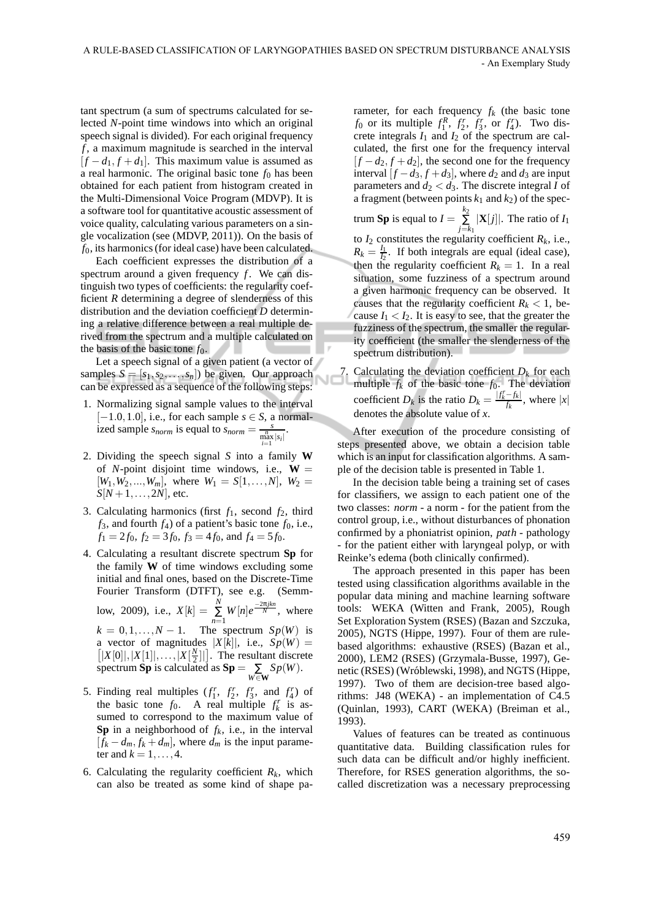tant spectrum (a sum of spectrums calculated for selected *N*-point time windows into which an original speech signal is divided). For each original frequency *f* , a maximum magnitude is searched in the interval  $[f - d_1, f + d_1]$ . This maximum value is assumed as a real harmonic. The original basic tone  $f_0$  has been obtained for each patient from histogram created in the Multi-Dimensional Voice Program (MDVP). It is a software tool for quantitative acoustic assessment of voice quality, calculating various parameters on a single vocalization (see (MDVP, 2011)). On the basis of *f*0, its harmonics (for ideal case) have been calculated.

Each coefficient expresses the distribution of a spectrum around a given frequency  $f$ . We can distinguish two types of coefficients: the regularity coefficient *R* determining a degree of slenderness of this distribution and the deviation coefficient *D* determining a relative difference between a real multiple derived from the spectrum and a multiple calculated on the basis of the basic tone  $f_0$ .

Let a speech signal of a given patient (a vector of samples  $S = [s_1, s_2, \dots, s_n]$  be given. Our approach can be expressed as a sequence of the following steps:

- 1. Normalizing signal sample values to the interval  $[-1.0, 1.0]$ , i.e., for each sample  $s \in S$ , a normalized sample *s<sub>norm</sub>* is equal to  $\frac{s}{\sum_{i=1}^{n} |s_i|}$ .
- 2. Dividing the speech signal *S* into a family **W** of *N*-point disjoint time windows, i.e.,  $W =$  $[W_1, W_2, \ldots, W_m]$ , where  $W_1 = S[1, \ldots, N]$ ,  $W_2 =$  $S[N+1, \ldots, 2N]$ , etc.
- 3. Calculating harmonics (first  $f_1$ , second  $f_2$ , third  $f_3$ , and fourth  $f_4$ ) of a patient's basic tone  $f_0$ , i.e.,  $f_1 = 2f_0$ ,  $f_2 = 3f_0$ ,  $f_3 = 4f_0$ , and  $f_4 = 5f_0$ .
- 4. Calculating a resultant discrete spectrum **Sp** for the family **W** of time windows excluding some initial and final ones, based on the Discrete-Time Fourier Transform (DTFT), see e.g. (Semmlow, 2009), i.e.,  $X[k] = \sum_{n=1}^{N} W[n]e^{\frac{-2\pi jkn}{N}}$ , where  $k = 0, 1, \ldots, N - 1$ . The spectrum  $Sp(W)$  is a vector of magnitudes a vector of magnitudes  $|X[k]|$ , i.e.,  $Sp(W) =$ <br> $[|X[0]|, |X[1]|, \ldots, |X[\frac{N}{2}]|]$ . The resultant discrete  $|X[0]|, |X[1]|, \ldots, |X[\frac{N}{2}]|]$ . The resultant discrete spectrum **Sp** is calculated as  $\mathbf{Sp} = \sum_{W \in \mathbf{W}} Sp(W)$ .
- 5. Finding real multiples  $(f_1^r, f_2^r, f_3^r, \text{ and } f_4^r)$  of the basic tone  $f_0$ . A real multiple  $f_k^r$  is assumed to correspond to the maximum value of **Sp** in a neighborhood of  $f_k$ , i.e., in the interval  $[f_k - d_m, f_k + d_m]$ , where  $d_m$  is the input parameter and  $k = 1, \ldots, 4$ .
- 6. Calculating the regularity coefficient  $R_k$ , which can also be treated as some kind of shape pa-

rameter, for each frequency  $f_k$  (the basic tone *f*<sub>0</sub> or its multiple  $f_1^R$ ,  $f_2^r$ ,  $f_3^r$ , or  $f_4^r$ ). Two discrete integrals  $I_1$  and  $I_2$  of the spectrum are calculated, the first one for the frequency interval  $[f - d_2, f + d_2]$ , the second one for the frequency interval  $[f - d_3, f + d_3]$ , where  $d_2$  and  $d_3$  are input parameters and  $d_2 < d_3$ . The discrete integral *I* of a fragment (between points  $k_1$  and  $k_2$ ) of the spec-

trum **Sp** is equal to  $I = \sum_{i=1}^{k_2}$ ∑ *j*=*k*1  $|\mathbf{X}[j]|$ . The ratio of  $I_1$ to  $I_2$  constitutes the regularity coefficient  $R_k$ , i.e.,  $R_k = \frac{I_1}{I_2}$  $\frac{I_1}{I_2}$ . If both integrals are equal (ideal case), then the regularity coefficient  $R_k = 1$ . In a real situation, some fuzziness of a spectrum around a given harmonic frequency can be observed. It causes that the regularity coefficient  $R_k < 1$ , because  $I_1 < I_2$ . It is easy to see, that the greater the fuzziness of the spectrum, the smaller the regularity coefficient (the smaller the slenderness of the spectrum distribution).

7. Calculating the deviation coefficient  $D_k$  for each multiple  $f_k$ multiple  $f_k$  of the basic tone  $f_0$ . The deviation coefficient *D<sub>k</sub>* is the ratio  $D_k = \frac{|f_k^r - f_k|}{f_k}$  $\frac{-f_k}{f_k}$ , where  $|x|$ denotes the absolute value of *x*.

After execution of the procedure consisting of steps presented above, we obtain a decision table which is an input for classification algorithms. A sample of the decision table is presented in Table 1.

In the decision table being a training set of cases for classifiers, we assign to each patient one of the two classes: *norm* - a norm - for the patient from the control group, i.e., without disturbances of phonation confirmed by a phoniatrist opinion, *path* - pathology - for the patient either with laryngeal polyp, or with Reinke's edema (both clinically confirmed).

The approach presented in this paper has been tested using classification algorithms available in the popular data mining and machine learning software tools: WEKA (Witten and Frank, 2005), Rough Set Exploration System (RSES) (Bazan and Szczuka, 2005), NGTS (Hippe, 1997). Four of them are rulebased algorithms: exhaustive (RSES) (Bazan et al., 2000), LEM2 (RSES) (Grzymala-Busse, 1997), Genetic (RSES) (Wróblewski, 1998), and NGTS (Hippe, 1997). Two of them are decision-tree based algorithms: J48 (WEKA) - an implementation of C4.5 (Quinlan, 1993), CART (WEKA) (Breiman et al., 1993).

Values of features can be treated as continuous quantitative data. Building classification rules for such data can be difficult and/or highly inefficient. Therefore, for RSES generation algorithms, the socalled discretization was a necessary preprocessing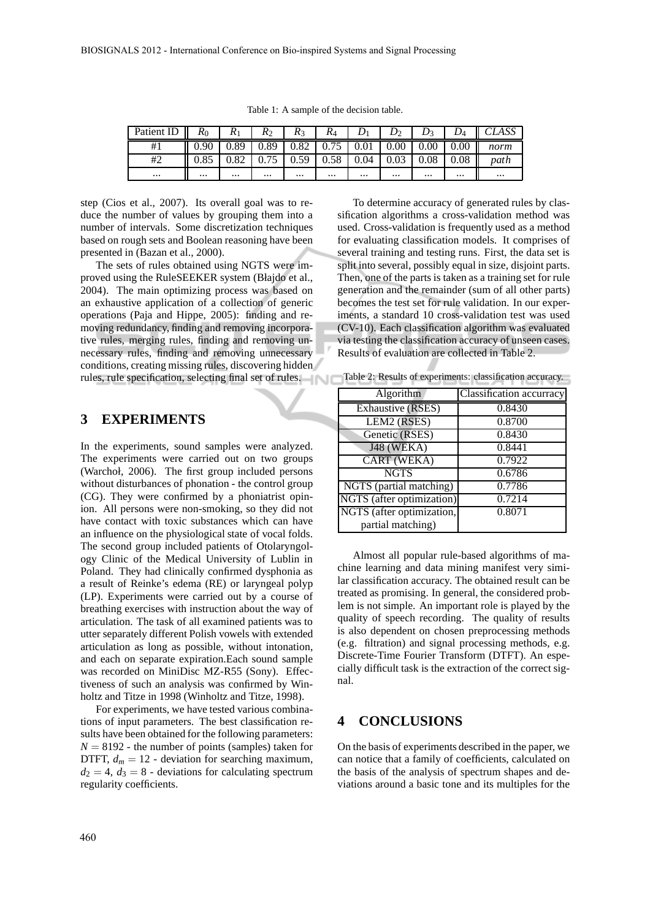|  |  |  |  |  | Table 1: A sample of the decision table. |  |
|--|--|--|--|--|------------------------------------------|--|
|--|--|--|--|--|------------------------------------------|--|

| Patient ID $\parallel$ $R_0$ |          | $R_1$    |                  | $R_2 \parallel R_3 \parallel$                  | $R_4$    |          | $D_1$   $D_2$ | $D_3$    | $D_4$    | CLASS                                                        |
|------------------------------|----------|----------|------------------|------------------------------------------------|----------|----------|---------------|----------|----------|--------------------------------------------------------------|
| #1                           | ll 0.90  |          |                  |                                                |          |          |               |          |          | 0.89   0.89   0.82   0.75   0.01   0.00   0.00   0.00   norm |
| #2                           |          |          |                  | $\mid 0.75 \mid 0.59 \mid 0.58 \mid 0.04 \mid$ |          |          | 0.03          | 0.08     |          | $0.08$ path                                                  |
| $\cdots$                     | $\cdots$ | $\cdots$ | المعارض والمنافذ | $\cdots$                                       | $\cdots$ | $\cdots$ | $\cdots$      | $\cdots$ | $\cdots$ | $\cdots$                                                     |

step (Cios et al., 2007). Its overall goal was to reduce the number of values by grouping them into a number of intervals. Some discretization techniques based on rough sets and Boolean reasoning have been presented in (Bazan et al., 2000).

The sets of rules obtained using NGTS were improved using the RuleSEEKER system (Błajdo et al., 2004). The main optimizing process was based on an exhaustive application of a collection of generic operations (Paja and Hippe, 2005): finding and removing redundancy, finding and removing incorporative rules, merging rules, finding and removing unnecessary rules, finding and removing unnecessary conditions, creating missing rules, discovering hidden rules, rule specification, selecting final set of rules.

#### **3 EXPERIMENTS**

In the experiments, sound samples were analyzed. The experiments were carried out on two groups (Warchoł, 2006). The first group included persons without disturbances of phonation - the control group (CG). They were confirmed by a phoniatrist opinion. All persons were non-smoking, so they did not have contact with toxic substances which can have an influence on the physiological state of vocal folds. The second group included patients of Otolaryngology Clinic of the Medical University of Lublin in Poland. They had clinically confirmed dysphonia as a result of Reinke's edema (RE) or laryngeal polyp (LP). Experiments were carried out by a course of breathing exercises with instruction about the way of articulation. The task of all examined patients was to utter separately different Polish vowels with extended articulation as long as possible, without intonation, and each on separate expiration.Each sound sample was recorded on MiniDisc MZ-R55 (Sony). Effectiveness of such an analysis was confirmed by Winholtz and Titze in 1998 (Winholtz and Titze, 1998).

For experiments, we have tested various combinations of input parameters. The best classification results have been obtained for the following parameters:  $N = 8192$  - the number of points (samples) taken for DTFT,  $d_m = 12$  - deviation for searching maximum,  $d_2 = 4$ ,  $d_3 = 8$  - deviations for calculating spectrum regularity coefficients.

To determine accuracy of generated rules by classification algorithms a cross-validation method was used. Cross-validation is frequently used as a method for evaluating classification models. It comprises of several training and testing runs. First, the data set is split into several, possibly equal in size, disjoint parts. Then, one of the parts is taken as a training set for rule generation and the remainder (sum of all other parts) becomes the test set for rule validation. In our experiments, a standard 10 cross-validation test was used (CV-10). Each classification algorithm was evaluated via testing the classification accuracy of unseen cases. Results of evaluation are collected in Table 2.

Table 2: Results of experiments: classification accuracy.

| Algorithm                 | Classification accurracy |
|---------------------------|--------------------------|
| <b>Exhaustive (RSES)</b>  | 0.8430                   |
| LEM2 (RSES)               | 0.8700                   |
| Genetic (RSES)            | 0.8430                   |
| <b>J48 (WEKA)</b>         | 0.8441                   |
| CART (WEKA)               | 0.7922                   |
| <b>NGTS</b>               | 0.6786                   |
| NGTS (partial matching)   | 0.7786                   |
| NGTS (after optimization) | 0.7214                   |
| NGTS (after optimization, | 0.8071                   |
| partial matching)         |                          |

Almost all popular rule-based algorithms of machine learning and data mining manifest very similar classification accuracy. The obtained result can be treated as promising. In general, the considered problem is not simple. An important role is played by the quality of speech recording. The quality of results is also dependent on chosen preprocessing methods (e.g. filtration) and signal processing methods, e.g. Discrete-Time Fourier Transform (DTFT). An especially difficult task is the extraction of the correct signal.

#### **4 CONCLUSIONS**

On the basis of experiments described in the paper, we can notice that a family of coefficients, calculated on the basis of the analysis of spectrum shapes and deviations around a basic tone and its multiples for the